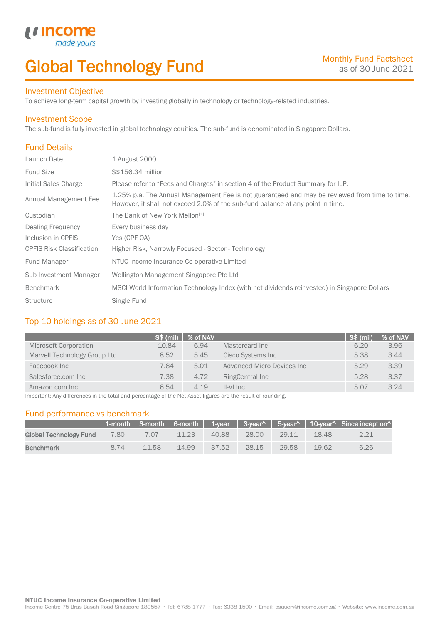# Global Technology Fund

### Investment Objective

made

*u* incom

To achieve long-term capital growth by investing globally in technology or technology-related industries.

### Investment Scope

The sub-fund is fully invested in global technology equities. The sub-fund is denominated in Singapore Dollars.

### Fund Details

I

| Launch Date                      | 1 August 2000                                                                                                                                                                    |
|----------------------------------|----------------------------------------------------------------------------------------------------------------------------------------------------------------------------------|
| <b>Fund Size</b>                 | S\$156.34 million                                                                                                                                                                |
| Initial Sales Charge             | Please refer to "Fees and Charges" in section 4 of the Product Summary for ILP.                                                                                                  |
| Annual Management Fee            | 1.25% p.a. The Annual Management Fee is not guaranteed and may be reviewed from time to time.<br>However, it shall not exceed 2.0% of the sub-fund balance at any point in time. |
| Custodian                        | The Bank of New York Mellon <sup>[1]</sup>                                                                                                                                       |
| <b>Dealing Frequency</b>         | Every business day                                                                                                                                                               |
| Inclusion in CPFIS               | Yes (CPF OA)                                                                                                                                                                     |
| <b>CPFIS Risk Classification</b> | Higher Risk, Narrowly Focused - Sector - Technology                                                                                                                              |
| <b>Fund Manager</b>              | NTUC Income Insurance Co-operative Limited                                                                                                                                       |
| Sub Investment Manager           | Wellington Management Singapore Pte Ltd                                                                                                                                          |
| <b>Benchmark</b>                 | MSCI World Information Technology Index (with net dividends reinvested) in Singapore Dollars                                                                                     |
| <b>Structure</b>                 | Single Fund                                                                                                                                                                      |

### Top 10 holdings as of 30 June 2021

|                              | <b>S\$ (mil)</b> | % of NAV |                             | <b>S\$ (mil)</b> | % of NAV |
|------------------------------|------------------|----------|-----------------------------|------------------|----------|
| Microsoft Corporation        | 10.84            | 6.94     | Mastercard Inc              | 6.20             | 3.96     |
| Marvell Technology Group Ltd | 8.52             | 5.45     | Cisco Systems Inc           | 5.38             | 3.44     |
| Facebook Inc                 | 7.84             | 5.01     | Advanced Micro Devices Inc. | 5.29             | 3.39     |
| Salesforce.com Inc           | 7.38             | 4.72     | RingCentral Inc             | 5.28             | 3.37     |
| Amazon.com Inc               | 6.54             | 4.19     | II-VI Inc                   | 5.07             | 3.24     |

Important: Any differences in the total and percentage of the Net Asset figures are the result of rounding.

### Fund performance vs benchmark

|                        |      |       |       |       |       |       |       | 1-month   3-month   6-month   1-year   3-year^   5-year^   10-year^   Since inception^ |
|------------------------|------|-------|-------|-------|-------|-------|-------|----------------------------------------------------------------------------------------|
| Global Technology Fund | 7.80 |       | 11.23 | 40.88 | 28.00 | 29.11 | 18.48 | 2.21                                                                                   |
| <b>Benchmark</b>       | 8.74 | 11.58 | 14.99 | 37.52 | 28.15 | 29.58 | 19.62 | 6.26                                                                                   |